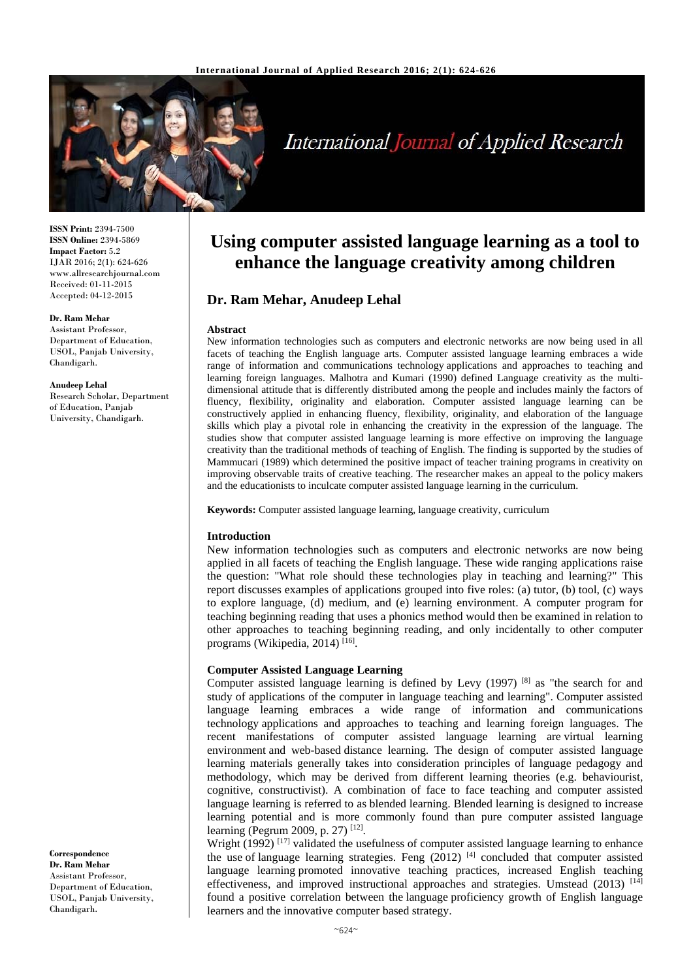

# International Journal of Applied Research

**ISSN Print:** 2394-7500 **ISSN Online:** 2394-5869 **Impact Factor:** 5.2 IJAR 2016; 2(1): 624-626 www.allresearchjournal.com Received: 01-11-2015 Accepted: 04-12-2015

#### **Dr. Ram Mehar**

Assistant Professor, Department of Education, USOL, Panjab University, Chandigarh.

**Anudeep Lehal**  Research Scholar, Department of Education, Panjab

University, Chandigarh.

**Correspondence Dr. Ram Mehar** 

Assistant Professor, Department of Education, USOL, Panjab University, Chandigarh.

# **Using computer assisted language learning as a tool to enhance the language creativity among children**

# **Dr. Ram Mehar, Anudeep Lehal**

#### **Abstract**

New information technologies such as computers and electronic networks are now being used in all facets of teaching the English language arts. Computer assisted language learning embraces a wide range of information and communications technology applications and approaches to teaching and learning foreign languages. Malhotra and Kumari (1990) defined Language creativity as the multidimensional attitude that is differently distributed among the people and includes mainly the factors of fluency, flexibility, originality and elaboration. Computer assisted language learning can be constructively applied in enhancing fluency, flexibility, originality, and elaboration of the language skills which play a pivotal role in enhancing the creativity in the expression of the language. The studies show that computer assisted language learning is more effective on improving the language creativity than the traditional methods of teaching of English. The finding is supported by the studies of Mammucari (1989) which determined the positive impact of teacher training programs in creativity on improving observable traits of creative teaching. The researcher makes an appeal to the policy makers and the educationists to inculcate computer assisted language learning in the curriculum.

**Keywords:** Computer assisted language learning, language creativity, curriculum

#### **Introduction**

New information technologies such as computers and electronic networks are now being applied in all facets of teaching the English language. These wide ranging applications raise the question: "What role should these technologies play in teaching and learning?" This report discusses examples of applications grouped into five roles: (a) tutor, (b) tool, (c) ways to explore language, (d) medium, and (e) learning environment. A computer program for teaching beginning reading that uses a phonics method would then be examined in relation to other approaches to teaching beginning reading, and only incidentally to other computer programs (Wikipedia, 2014) [16].

#### **Computer Assisted Language Learning**

Computer assisted language learning is defined by Levy  $(1997)$  [8] as "the search for and study of applications of the computer in language teaching and learning". Computer assisted language learning embraces a wide range of information and communications technology applications and approaches to teaching and learning foreign languages. The recent manifestations of computer assisted language learning are virtual learning environment and web-based distance learning. The design of computer assisted language learning materials generally takes into consideration principles of language pedagogy and methodology, which may be derived from different learning theories (e.g. behaviourist, cognitive, constructivist). A combination of face to face teaching and computer assisted language learning is referred to as blended learning. Blended learning is designed to increase learning potential and is more commonly found than pure computer assisted language learning (Pegrum 2009, p. 27) [12].

Wright  $(1992)$ <sup>[17]</sup> validated the usefulness of computer assisted language learning to enhance the use of language learning strategies. Feng  $(2012)$  <sup>[4]</sup> concluded that computer assisted language learning promoted innovative teaching practices, increased English teaching effectiveness, and improved instructional approaches and strategies. Umstead  $(2013)^{[14]}$ found a positive correlation between the language proficiency growth of English language learners and the innovative computer based strategy.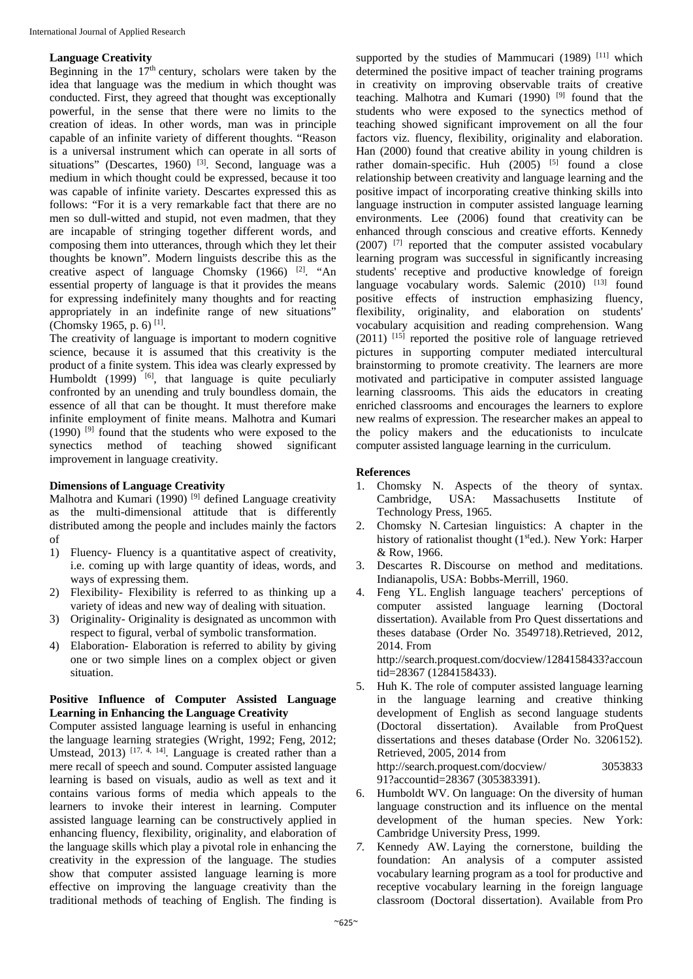# **Language Creativity**

Beginning in the  $17<sup>th</sup>$  century, scholars were taken by the idea that language was the medium in which thought was conducted. First, they agreed that thought was exceptionally powerful, in the sense that there were no limits to the creation of ideas. In other words, man was in principle capable of an infinite variety of different thoughts. "Reason is a universal instrument which can operate in all sorts of situations" (Descartes, 1960)  $^{[3]}$ . Second, language was a medium in which thought could be expressed, because it too was capable of infinite variety. Descartes expressed this as follows: "For it is a very remarkable fact that there are no men so dull-witted and stupid, not even madmen, that they are incapable of stringing together different words, and composing them into utterances, through which they let their thoughts be known". Modern linguists describe this as the creative aspect of language Chomsky  $(1966)$  <sup>[2]</sup>. "An essential property of language is that it provides the means for expressing indefinitely many thoughts and for reacting appropriately in an indefinite range of new situations" (Chomsky 1965, p. 6) [1].

The creativity of language is important to modern cognitive science, because it is assumed that this creativity is the product of a finite system. This idea was clearly expressed by Humboldt  $(1999)$  [6], that language is quite peculiarly confronted by an unending and truly boundless domain, the essence of all that can be thought. It must therefore make infinite employment of finite means. Malhotra and Kumari  $(1990)$  <sup>[9]</sup> found that the students who were exposed to the synectics method of teaching showed significant improvement in language creativity.

# **Dimensions of Language Creativity**

Malhotra and Kumari (1990)<sup>[9]</sup> defined Language creativity as the multi-dimensional attitude that is differently distributed among the people and includes mainly the factors of

- 1) Fluency- Fluency is a quantitative aspect of creativity, i.e. coming up with large quantity of ideas, words, and ways of expressing them.
- 2) Flexibility- Flexibility is referred to as thinking up a variety of ideas and new way of dealing with situation.
- 3) Originality- Originality is designated as uncommon with respect to figural, verbal of symbolic transformation.
- 4) Elaboration- Elaboration is referred to ability by giving one or two simple lines on a complex object or given situation.

### **Positive Influence of Computer Assisted Language Learning in Enhancing the Language Creativity**

Computer assisted language learning is useful in enhancing the language learning strategies (Wright, 1992; Feng, 2012; Umstead, 2013)  $[17, 4, 14]$ . Language is created rather than a mere recall of speech and sound. Computer assisted language learning is based on visuals, audio as well as text and it contains various forms of media which appeals to the learners to invoke their interest in learning. Computer assisted language learning can be constructively applied in enhancing fluency, flexibility, originality, and elaboration of the language skills which play a pivotal role in enhancing the creativity in the expression of the language. The studies show that computer assisted language learning is more effective on improving the language creativity than the traditional methods of teaching of English. The finding is

supported by the studies of Mammucari (1989) [11] which determined the positive impact of teacher training programs in creativity on improving observable traits of creative teaching. Malhotra and Kumari (1990)  $[9]$  found that the students who were exposed to the synectics method of teaching showed significant improvement on all the four factors viz. fluency, flexibility, originality and elaboration. Han (2000) found that creative ability in young children is rather domain-specific. Huh  $(2005)$  <sup>[5]</sup> found a close relationship between creativity and language learning and the positive impact of incorporating creative thinking skills into language instruction in computer assisted language learning environments. Lee (2006) found that creativity can be enhanced through conscious and creative efforts. Kennedy  $(2007)$  <sup>[7]</sup> reported that the computer assisted vocabulary learning program was successful in significantly increasing students' receptive and productive knowledge of foreign language vocabulary words. Salemic  $(2010)$  [13] found positive effects of instruction emphasizing fluency, flexibility, originality, and elaboration on students' vocabulary acquisition and reading comprehension. Wang  $(2011)$  <sup>[15]</sup> reported the positive role of language retrieved pictures in supporting computer mediated intercultural brainstorming to promote creativity. The learners are more motivated and participative in computer assisted language learning classrooms. This aids the educators in creating enriched classrooms and encourages the learners to explore new realms of expression. The researcher makes an appeal to the policy makers and the educationists to inculcate computer assisted language learning in the curriculum.

# **References**

- 1. Chomsky N. Aspects of the theory of syntax. Cambridge, USA: Massachusetts Institute of Technology Press, 1965.
- 2. Chomsky N. Cartesian linguistics: A chapter in the history of rationalist thought (1<sup>st</sup>ed.). New York: Harper & Row, 1966.
- 3. Descartes R. Discourse on method and meditations. Indianapolis, USA: Bobbs-Merrill, 1960.
- 4. Feng YL. English language teachers' perceptions of computer assisted language learning (Doctoral dissertation). Available from Pro Quest dissertations and theses database (Order No. 3549718).Retrieved, 2012, 2014. From http://search.proquest.com/docview/1284158433?accoun

tid=28367 (1284158433).

- 5. Huh K. The role of computer assisted language learning in the language learning and creative thinking development of English as second language students (Doctoral dissertation). Available from ProQuest dissertations and theses database (Order No. 3206152). Retrieved, 2005, 2014 from http://search.proquest.com/docview/ 3053833 91?accountid=28367 (305383391).
- 6. Humboldt WV. On language: On the diversity of human language construction and its influence on the mental development of the human species. New York: Cambridge University Press, 1999.
- *7.* Kennedy AW. Laying the cornerstone, building the foundation: An analysis of a computer assisted vocabulary learning program as a tool for productive and receptive vocabulary learning in the foreign language classroom (Doctoral dissertation). Available from Pro